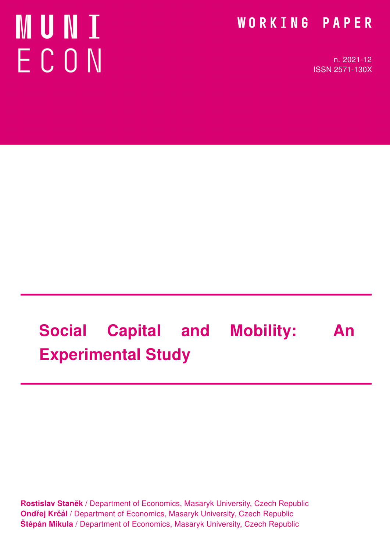# MUNI ECON

### WORKING PAPER

n. 2021-12 ISSN 2571-130X

# Social Capital and Mobility: An Experimental Study

Rostislav Staněk / Department of Economics, Masaryk University, Czech Republic Ondřej Krčál / Department of Economics, Masaryk University, Czech Republic Štěpán Mikula / Department of Economics, Masaryk University, Czech Republic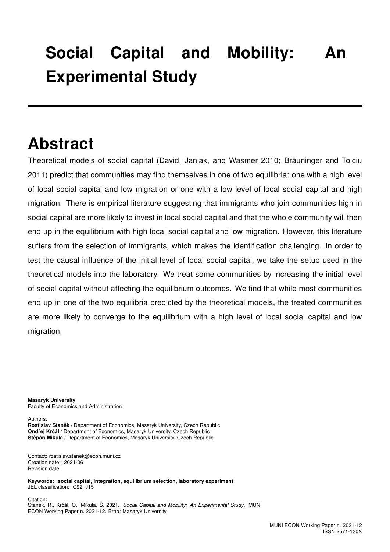## Social Capital and Mobility: An Experimental Study

### Abstract

Theoretical models of social capital (David, Janiak, and Wasmer 2010; Bräuninger and Tolciu 2011) predict that communities may find themselves in one of two equilibria: one with a high level of local social capital and low migration or one with a low level of local social capital and high migration. There is empirical literature suggesting that immigrants who join communities high in social capital are more likely to invest in local social capital and that the whole community will then end up in the equilibrium with high local social capital and low migration. However, this literature suffers from the selection of immigrants, which makes the identification challenging. In order to test the causal influence of the initial level of local social capital, we take the setup used in the theoretical models into the laboratory. We treat some communities by increasing the initial level of social capital without affecting the equilibrium outcomes. We find that while most communities end up in one of the two equilibria predicted by the theoretical models, the treated communities are more likely to converge to the equilibrium with a high level of local social capital and low migration.

Masaryk University Faculty of Economics and Administration

Authors:

Rostislav Staněk / Department of Economics, Masaryk University, Czech Republic Ondřej Krčál / Department of Economics, Masaryk University, Czech Republic Štěpán Mikula / Department of Economics, Masaryk University, Czech Republic

Contact: rostislav.stanek@econ.muni.cz Creation date: 2021-06 Revision date:

Keywords: social capital, integration, equilibrium selection, laboratory experiment JEL classification: C92, J15

Citation: Staněk, R., Krčál, O., Mikula, Š. 2021. Social Capital and Mobility: An Experimental Study. MUNI ECON Working Paper n. 2021-12. Brno: Masaryk University.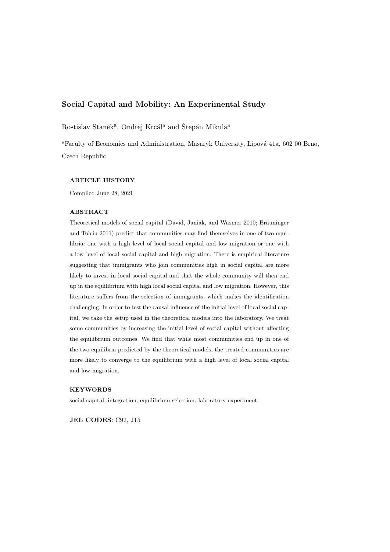#### Social Capital and Mobility: An Experimental Study

Rostislav Staněk<sup>a</sup>, Ondřej Krčál<sup>a</sup> and Štěpán Mikula<sup>a</sup>

<sup>a</sup>Faculty of Economics and Administration, Masaryk University, Lipová 41a, 602 00 Brno, Czech Republic

#### ARTICLE HISTORY

Compiled June 28, 2021

#### ABSTRACT

Theoretical models of social capital (David, Janiak, and Wasmer 2010; Bräuninger and Tolciu 2011) predict that communities may find themselves in one of two equilibria: one with a high level of local social capital and low migration or one with a low level of local social capital and high migration. There is empirical literature suggesting that immigrants who join communities high in social capital are more likely to invest in local social capital and that the whole community will then end up in the equilibrium with high local social capital and low migration. However, this literature suffers from the selection of immigrants, which makes the identification challenging. In order to test the causal influence of the initial level of local social capital, we take the setup used in the theoretical models into the laboratory. We treat some communities by increasing the initial level of social capital without affecting the equilibrium outcomes. We find that while most communities end up in one of the two equilibria predicted by the theoretical models, the treated communities are more likely to converge to the equilibrium with a high level of local social capital and low migration.

#### **KEYWORDS**

social capital, integration, equilibrium selection, laboratory experiment

JEL CODES: C92, J15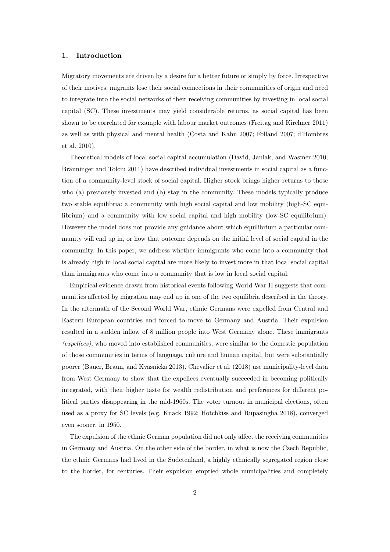#### 1. Introduction

Migratory movements are driven by a desire for a better future or simply by force. Irrespective of their motives, migrants lose their social connections in their communities of origin and need to integrate into the social networks of their receiving communities by investing in local social capital (SC). These investments may yield considerable returns, as social capital has been shown to be correlated for example with labour market outcomes (Freitag and Kirchner 2011) as well as with physical and mental health (Costa and Kahn 2007; Folland 2007; d'Hombres et al. 2010).

Theoretical models of local social capital accumulation (David, Janiak, and Wasmer 2010; Bräuninger and Tolciu 2011) have described individual investments in social capital as a function of a community-level stock of social capital. Higher stock brings higher returns to those who (a) previously invested and (b) stay in the community. These models typically produce two stable equilibria: a community with high social capital and low mobility (high-SC equilibrium) and a community with low social capital and high mobility (low-SC equilibrium). However the model does not provide any guidance about which equilibrium a particular community will end up in, or how that outcome depends on the initial level of social capital in the community. In this paper, we address whether immigrants who come into a community that is already high in local social capital are more likely to invest more in that local social capital than immigrants who come into a community that is low in local social capital.

Empirical evidence drawn from historical events following World War II suggests that communities affected by migration may end up in one of the two equilibria described in the theory. In the aftermath of the Second World War, ethnic Germans were expelled from Central and Eastern European countries and forced to move to Germany and Austria. Their expulsion resulted in a sudden inflow of 8 million people into West Germany alone. These immigrants (expellees), who moved into established communities, were similar to the domestic population of those communities in terms of language, culture and human capital, but were substantially poorer (Bauer, Braun, and Kvasnicka 2013). Chevalier et al. (2018) use municipality-level data from West Germany to show that the expellees eventually succeeded in becoming politically integrated, with their higher taste for wealth redistribution and preferences for different political parties disappearing in the mid-1960s. The voter turnout in municipal elections, often used as a proxy for SC levels (e.g. Knack 1992; Hotchkiss and Rupasingha 2018), converged even sooner, in 1950.

The expulsion of the ethnic German population did not only affect the receiving communities in Germany and Austria. On the other side of the border, in what is now the Czech Republic, the ethnic Germans had lived in the Sudetenland, a highly ethnically segregated region close to the border, for centuries. Their expulsion emptied whole municipalities and completely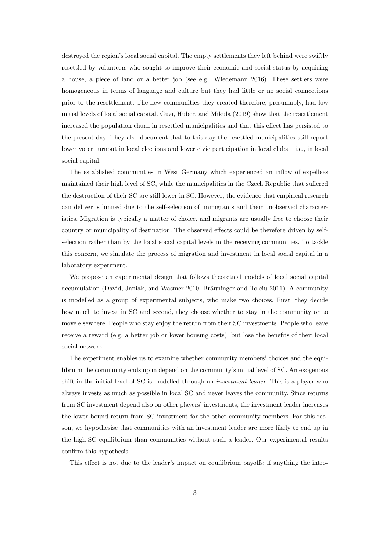destroyed the region's local social capital. The empty settlements they left behind were swiftly resettled by volunteers who sought to improve their economic and social status by acquiring a house, a piece of land or a better job (see e.g., Wiedemann 2016). These settlers were homogeneous in terms of language and culture but they had little or no social connections prior to the resettlement. The new communities they created therefore, presumably, had low initial levels of local social capital. Guzi, Huber, and Mikula (2019) show that the resettlement increased the population churn in resettled municipalities and that this effect has persisted to the present day. They also document that to this day the resettled municipalities still report lower voter turnout in local elections and lower civic participation in local clubs – i.e., in local social capital.

The established communities in West Germany which experienced an inflow of expellees maintained their high level of SC, while the municipalities in the Czech Republic that suffered the destruction of their SC are still lower in SC. However, the evidence that empirical research can deliver is limited due to the self-selection of immigrants and their unobserved characteristics. Migration is typically a matter of choice, and migrants are usually free to choose their country or municipality of destination. The observed effects could be therefore driven by selfselection rather than by the local social capital levels in the receiving communities. To tackle this concern, we simulate the process of migration and investment in local social capital in a laboratory experiment.

We propose an experimental design that follows theoretical models of local social capital accumulation (David, Janiak, and Wasmer 2010; Bräuninger and Tolciu 2011). A community is modelled as a group of experimental subjects, who make two choices. First, they decide how much to invest in SC and second, they choose whether to stay in the community or to move elsewhere. People who stay enjoy the return from their SC investments. People who leave receive a reward (e.g. a better job or lower housing costs), but lose the benefits of their local social network.

The experiment enables us to examine whether community members' choices and the equilibrium the community ends up in depend on the community's initial level of SC. An exogenous shift in the initial level of SC is modelled through an *investment leader*. This is a player who always invests as much as possible in local SC and never leaves the community. Since returns from SC investment depend also on other players' investments, the investment leader increases the lower bound return from SC investment for the other community members. For this reason, we hypothesise that communities with an investment leader are more likely to end up in the high-SC equilibrium than communities without such a leader. Our experimental results confirm this hypothesis.

This effect is not due to the leader's impact on equilibrium payoffs; if anything the intro-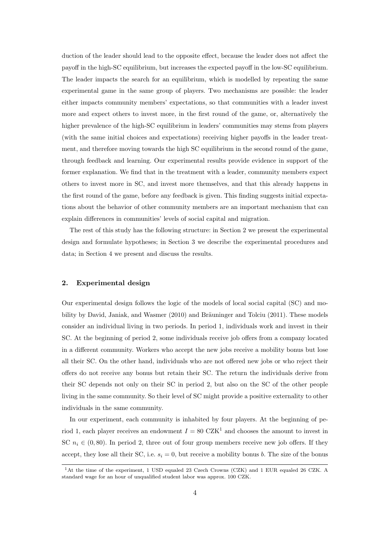duction of the leader should lead to the opposite effect, because the leader does not affect the payoff in the high-SC equilibrium, but increases the expected payoff in the low-SC equilibrium. The leader impacts the search for an equilibrium, which is modelled by repeating the same experimental game in the same group of players. Two mechanisms are possible: the leader either impacts community members' expectations, so that communities with a leader invest more and expect others to invest more, in the first round of the game, or, alternatively the higher prevalence of the high-SC equilibrium in leaders' communities may stems from players (with the same initial choices and expectations) receiving higher payoffs in the leader treatment, and therefore moving towards the high SC equilibrium in the second round of the game, through feedback and learning. Our experimental results provide evidence in support of the former explanation. We find that in the treatment with a leader, community members expect others to invest more in SC, and invest more themselves, and that this already happens in the first round of the game, before any feedback is given. This finding suggests initial expectations about the behavior of other community members are an important mechanism that can explain differences in communities' levels of social capital and migration.

The rest of this study has the following structure: in Section 2 we present the experimental design and formulate hypotheses; in Section 3 we describe the experimental procedures and data; in Section 4 we present and discuss the results.

#### 2. Experimental design

Our experimental design follows the logic of the models of local social capital (SC) and mobility by David, Janiak, and Wasmer  $(2010)$  and Bräuninger and Tolciu  $(2011)$ . These models consider an individual living in two periods. In period 1, individuals work and invest in their SC. At the beginning of period 2, some individuals receive job offers from a company located in a different community. Workers who accept the new jobs receive a mobility bonus but lose all their SC. On the other hand, individuals who are not offered new jobs or who reject their offers do not receive any bonus but retain their SC. The return the individuals derive from their SC depends not only on their SC in period 2, but also on the SC of the other people living in the same community. So their level of SC might provide a positive externality to other individuals in the same community.

In our experiment, each community is inhabited by four players. At the beginning of period 1, each player receives an endowment  $I = 80 \text{ CZK}^1$  and chooses the amount to invest in SC  $n_i \in (0, 80)$ . In period 2, three out of four group members receive new job offers. If they accept, they lose all their SC, i.e.  $s_i = 0$ , but receive a mobility bonus b. The size of the bonus

<sup>&</sup>lt;sup>1</sup>At the time of the experiment, 1 USD equaled 23 Czech Crowns (CZK) and 1 EUR equaled 26 CZK. A standard wage for an hour of unqualified student labor was approx. 100 CZK.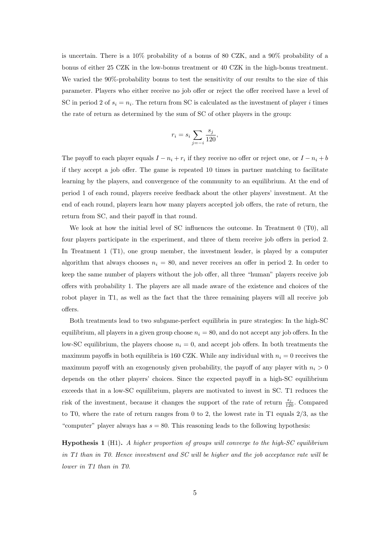is uncertain. There is a 10% probability of a bonus of 80 CZK, and a 90% probability of a bonus of either 25 CZK in the low-bonus treatment or 40 CZK in the high-bonus treatment. We varied the 90%-probability bonus to test the sensitivity of our results to the size of this parameter. Players who either receive no job offer or reject the offer received have a level of SC in period 2 of  $s_i = n_i$ . The return from SC is calculated as the investment of player i times the rate of return as determined by the sum of SC of other players in the group:

$$
r_i = s_i \sum_{j=-i} \frac{s_j}{120},
$$

The payoff to each player equals  $I - n_i + r_i$  if they receive no offer or reject one, or  $I - n_i + b$ if they accept a job offer. The game is repeated 10 times in partner matching to facilitate learning by the players, and convergence of the community to an equilibrium. At the end of period 1 of each round, players receive feedback about the other players' investment. At the end of each round, players learn how many players accepted job offers, the rate of return, the return from SC, and their payoff in that round.

We look at how the initial level of SC influences the outcome. In Treatment 0 (T0), all four players participate in the experiment, and three of them receive job offers in period 2. In Treatment 1 (T1), one group member, the investment leader, is played by a computer algorithm that always chooses  $n_i = 80$ , and never receives an offer in period 2. In order to keep the same number of players without the job offer, all three "human" players receive job offers with probability 1. The players are all made aware of the existence and choices of the robot player in T1, as well as the fact that the three remaining players will all receive job offers.

Both treatments lead to two subgame-perfect equilibria in pure strategies: In the high-SC equilibrium, all players in a given group choose  $n_i = 80$ , and do not accept any job offers. In the low-SC equilibrium, the players choose  $n_i = 0$ , and accept job offers. In both treatments the maximum payoffs in both equilibria is 160 CZK. While any individual with  $n_i = 0$  receives the maximum payoff with an exogenously given probability, the payoff of any player with  $n_i > 0$ depends on the other players' choices. Since the expected payoff in a high-SC equilibrium exceeds that in a low-SC equilibrium, players are motivated to invest in SC. T1 reduces the risk of the investment, because it changes the support of the rate of return  $\frac{s_j}{120}$ . Compared to T0, where the rate of return ranges from 0 to 2, the lowest rate in T1 equals 2/3, as the "computer" player always has  $s = 80$ . This reasoning leads to the following hypothesis:

**Hypothesis 1** (H1). A higher proportion of groups will converge to the high-SC equilibrium in T1 than in T0. Hence investment and SC will be higher and the job acceptance rate will be lower in T1 than in T0.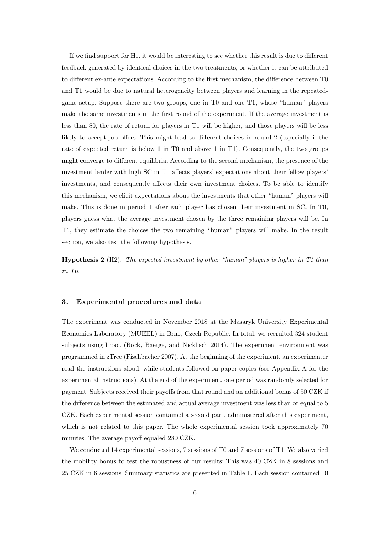If we find support for H1, it would be interesting to see whether this result is due to different feedback generated by identical choices in the two treatments, or whether it can be attributed to different ex-ante expectations. According to the first mechanism, the difference between T0 and T1 would be due to natural heterogeneity between players and learning in the repeatedgame setup. Suppose there are two groups, one in T0 and one T1, whose "human" players make the same investments in the first round of the experiment. If the average investment is less than 80, the rate of return for players in T1 will be higher, and those players will be less likely to accept job offers. This might lead to different choices in round 2 (especially if the rate of expected return is below 1 in T0 and above 1 in T1). Consequently, the two groups might converge to different equilibria. According to the second mechanism, the presence of the investment leader with high SC in T1 affects players' expectations about their fellow players' investments, and consequently affects their own investment choices. To be able to identify this mechanism, we elicit expectations about the investments that other "human" players will make. This is done in period 1 after each player has chosen their investment in SC. In T0, players guess what the average investment chosen by the three remaining players will be. In T1, they estimate the choices the two remaining "human" players will make. In the result section, we also test the following hypothesis.

**Hypothesis 2** (H2). The expected investment by other "human" players is higher in T1 than in T0.

#### 3. Experimental procedures and data

The experiment was conducted in November 2018 at the Masaryk University Experimental Economics Laboratory (MUEEL) in Brno, Czech Republic. In total, we recruited 324 student subjects using hroot (Bock, Baetge, and Nicklisch 2014). The experiment environment was programmed in zTree (Fischbacher 2007). At the beginning of the experiment, an experimenter read the instructions aloud, while students followed on paper copies (see Appendix A for the experimental instructions). At the end of the experiment, one period was randomly selected for payment. Subjects received their payoffs from that round and an additional bonus of 50 CZK if the difference between the estimated and actual average investment was less than or equal to 5 CZK. Each experimental session contained a second part, administered after this experiment, which is not related to this paper. The whole experimental session took approximately 70 minutes. The average payoff equaled 280 CZK.

We conducted 14 experimental sessions, 7 sessions of T0 and 7 sessions of T1. We also varied the mobility bonus to test the robustness of our results: This was 40 CZK in 8 sessions and 25 CZK in 6 sessions. Summary statistics are presented in Table 1. Each session contained 10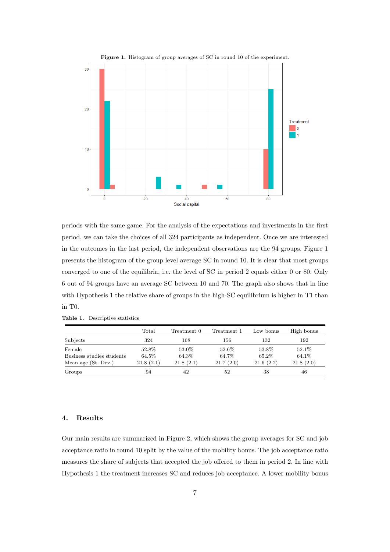

periods with the same game. For the analysis of the expectations and investments in the first period, we can take the choices of all 324 participants as independent. Once we are interested in the outcomes in the last period, the independent observations are the 94 groups. Figure 1 presents the histogram of the group level average SC in round 10. It is clear that most groups converged to one of the equilibria, i.e. the level of SC in period 2 equals either 0 or 80. Only 6 out of 94 groups have an average SC between 10 and 70. The graph also shows that in line with Hypothesis 1 the relative share of groups in the high-SC equilibrium is higher in T1 than in T0.

|                           | Total     | Treatment 0 | Treatment 1 | Low bonus | High bonus |
|---------------------------|-----------|-------------|-------------|-----------|------------|
| Subjects                  | 324       | 168         | 156         | 132       | 192        |
| Female                    | 52.8%     | 53.0%       | 52.6%       | 53.8%     | 52.1%      |
| Business studies students | 64.5%     | 64.3%       | 64.7%       | 65.2%     | 64.1%      |
| Mean age (St. Dev.)       | 21.8(2.1) | 21.8(2.1)   | 21.7(2.0)   | 21.6(2.2) | 21.8(2.0)  |
| Groups                    | 94        | 42          | 52          | 38        | 46         |

Table 1. Descriptive statistics

#### 4. Results

Our main results are summarized in Figure 2, which shows the group averages for SC and job acceptance ratio in round 10 split by the value of the mobility bonus. The job acceptance ratio measures the share of subjects that accepted the job offered to them in period 2. In line with Hypothesis 1 the treatment increases SC and reduces job acceptance. A lower mobility bonus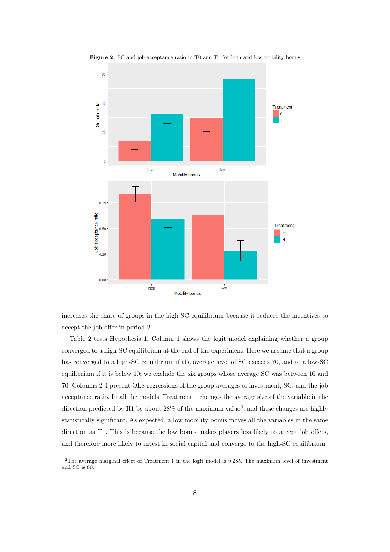

Figure 2. SC and job acceptance ratio in T0 and T1 for high and low mobility bonus

increases the share of groups in the high-SC equilibrium because it reduces the incentives to accept the job offer in period 2.

Table 2 tests Hypothesis 1. Column 1 shows the logit model explaining whether a group converged to a high-SC equilibrium at the end of the experiment. Here we assume that a group has converged to a high-SC equilibrium if the average level of SC exceeds 70, and to a low-SC equilibrium if it is below 10; we exclude the six groups whose average SC was between 10 and 70. Columns 2-4 present OLS regressions of the group averages of investment, SC, and the job acceptance ratio. In all the models, Treatment 1 changes the average size of the variable in the direction predicted by H1 by about  $28\%$  of the maximum value<sup>2</sup>, and these changes are highly statistically significant. As expected, a low mobility bonus moves all the variables in the same direction as T1. This is because the low bonus makes players less likely to accept job offers, and therefore more likely to invest in social capital and converge to the high-SC equilibrium.

<sup>2</sup>The average marginal effect of Treatment 1 in the logit model is 0.285. The maximum level of investment and SC is 80.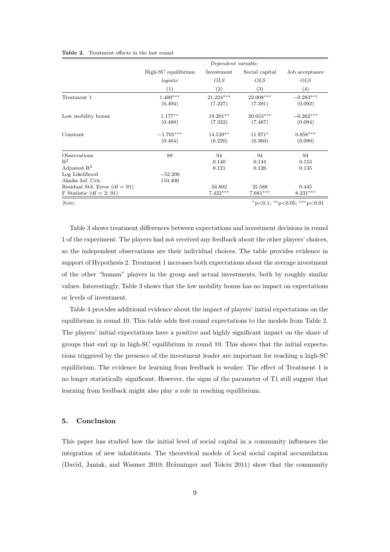|                                 | Dependent variable:         |                   |                |                 |  |
|---------------------------------|-----------------------------|-------------------|----------------|-----------------|--|
|                                 | High-SC equilibrium         | Investment        | Social capital | Job acceptance  |  |
|                                 | logistic                    | <i>OLS</i>        | <i>OLS</i>     | <i>OLS</i>      |  |
|                                 | (1)                         | $\left( 2\right)$ | (3)            | (4)             |  |
| Treatment 1                     | $1.400***$                  | $21.224***$       | 22.008***      | $-0.283***$     |  |
|                                 | (0.494)                     | (7.227)           | (7.391)        | (0.092)         |  |
| Low mobility bonus              | $1.177**$                   | 19.201**          | $20.053***$    | $-0.262***$     |  |
|                                 | (0.488)                     | (7.322)           | (7.487)        | (0.094)         |  |
| Constant                        | $-1.705***$                 | $14.539**$        | $11.971*$      | $0.858^{***}\,$ |  |
|                                 | (0.464)                     | (6.220)           | (6.360)        | (0.080)         |  |
| Observations                    | 88                          | 94                | 94             | 94              |  |
| $R^2$                           |                             | 0.140             | 0.144          | 0.153           |  |
| Adjusted $\mathbb{R}^2$         |                             | 0.121             | 0.126          | 0.135           |  |
| Log Likelihood                  | $-52.200$                   |                   |                |                 |  |
| Akaike Inf. Crit.               | 110.400                     |                   |                |                 |  |
| Residual Std. Error $(df = 91)$ |                             | 34.802            | 35.588         | 0.445           |  |
| F Statistic (df = 2; 91)        |                             | $7.422***$        | $7.681***$     | $8.231***$      |  |
| Note:                           | *p<0.1; **p<0.05; ***p<0.01 |                   |                |                 |  |

Table 3 shows treatment differences between expectations and investment decisions in round 1 of the experiment. The players had not received any feedback about the other players' choices, so the independent observations are their individual choices. The table provides evidence in support of Hypothesis 2. Treatment 1 increases both expectations about the average investment of the other "human" players in the group and actual investments, both by roughly similar values. Interestingly, Table 3 shows that the low mobility bonus has no impact on expectations or levels of investment.

Table 4 provides additional evidence about the impact of players' initial expectations on the equilibrium in round 10. This table adds first-round expectations to the models from Table 2. The players' initial expectations have a positive and highly significant impact on the share of groups that end up in high-SC equilibrium in round 10. This shows that the initial expectations triggered by the presence of the investment leader are important for reaching a high-SC equilibrium. The evidence for learning from feedback is weaker. The effect of Treatment 1 is no longer statistically significant. However, the signs of the parameter of T1 still suggest that learning from feedback might also play a role in reaching equilibrium.

#### 5. Conclusion

This paper has studied how the initial level of social capital in a community influences the integration of new inhabitants. The theoretical models of local social capital accumulation (David, Janiak, and Wasmer 2010; Bräuninger and Tolciu 2011) show that the community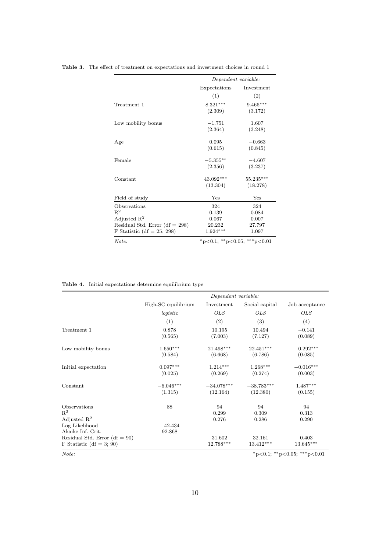|                                  | Dependent variable:         |                   |  |
|----------------------------------|-----------------------------|-------------------|--|
|                                  | Expectations                | Investment        |  |
|                                  | (1)                         | $\left( 2\right)$ |  |
| Treatment 1                      | $8.321***$                  | $9.465***$        |  |
|                                  | (2.309)                     | (3.172)           |  |
| Low mobility bonus               | $-1.751$                    | 1.607             |  |
|                                  | (2.364)                     | (3.248)           |  |
| Age                              | 0.095                       | $-0.663$          |  |
|                                  | (0.615)                     | (0.845)           |  |
| Female                           | $-5.355***$                 | $-4.607$          |  |
|                                  | (2.356)                     | (3.237)           |  |
| Constant                         | 43.092***                   | 55.235***         |  |
|                                  | (13.304)                    | (18.278)          |  |
| Field of study                   | Yes                         | Yes               |  |
| Observations                     | 324                         | 324               |  |
| $R^2$                            | 0.139                       | 0.084             |  |
| Adjusted $\mathbb{R}^2$          | 0.067                       | 0.007             |  |
| Residual Std. Error $(df = 298)$ | 20.232                      | 27.797            |  |
| F Statistic (df = 25; 298)       | $1.924***$                  | 1.097             |  |
| Note:                            | *p<0.1; **p<0.05; ***p<0.01 |                   |  |

Table 3. The effect of treatment on expectations and investment choices in round 1

Table 4. Initial expectations determine equilibrium type

|                                 | Dependent variable:         |              |                |                |  |
|---------------------------------|-----------------------------|--------------|----------------|----------------|--|
|                                 | High-SC equilibrium         | Investment   | Social capital | Job acceptance |  |
|                                 | logistic                    | <i>OLS</i>   | <i>OLS</i>     | <i>OLS</i>     |  |
|                                 | (1)                         | (2)          | (3)            | (4)            |  |
| Treatment 1                     | 0.878                       | 10.195       | 10.494         | $-0.141$       |  |
|                                 | (0.565)                     | (7.003)      | (7.127)        | (0.089)        |  |
| Low mobility bonus              | $1.650***$                  | 21.498***    | $22.451***$    | $-0.292***$    |  |
|                                 | (0.584)                     | (6.668)      | (6.786)        | (0.085)        |  |
| Initial expectation             | $0.097***$                  | $1.214***$   | $1.268***$     | $-0.016***$    |  |
|                                 | (0.025)                     | (0.269)      | (0.274)        | (0.003)        |  |
| Constant                        | $-6.046***$                 | $-34.078***$ | $-38.783***$   | $1.487***$     |  |
|                                 | (1.315)                     | (12.164)     | (12.380)       | (0.155)        |  |
| Observations                    | 88                          | 94           | 94             | 94             |  |
| $\mathbb{R}^2$                  |                             | 0.299        | 0.309          | 0.313          |  |
| Adjusted $\mathbb{R}^2$         |                             | 0.276        | 0.286          | 0.290          |  |
| Log Likelihood                  | $-42.434$                   |              |                |                |  |
| Akaike Inf. Crit.               | 92.868                      |              |                |                |  |
| Residual Std. Error $(df = 90)$ |                             | 31.602       | 32.161         | 0.403          |  |
| F Statistic (df = 3; 90)        |                             | 12.788***    | $13.412***$    | 13.645***      |  |
| Note:                           | *p<0.1; **p<0.05; ***p<0.01 |              |                |                |  |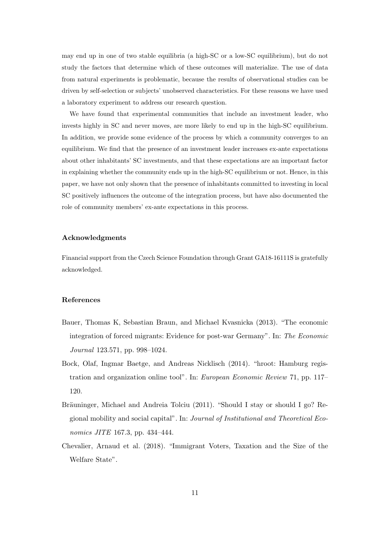may end up in one of two stable equilibria (a high-SC or a low-SC equilibrium), but do not study the factors that determine which of these outcomes will materialize. The use of data from natural experiments is problematic, because the results of observational studies can be driven by self-selection or subjects' unobserved characteristics. For these reasons we have used a laboratory experiment to address our research question.

We have found that experimental communities that include an investment leader, who invests highly in SC and never moves, are more likely to end up in the high-SC equilibrium. In addition, we provide some evidence of the process by which a community converges to an equilibrium. We find that the presence of an investment leader increases ex-ante expectations about other inhabitants' SC investments, and that these expectations are an important factor in explaining whether the community ends up in the high-SC equilibrium or not. Hence, in this paper, we have not only shown that the presence of inhabitants committed to investing in local SC positively influences the outcome of the integration process, but have also documented the role of community members' ex-ante expectations in this process.

#### Acknowledgments

Financial support from the Czech Science Foundation through Grant GA18-16111S is gratefully acknowledged.

#### References

- Bauer, Thomas K, Sebastian Braun, and Michael Kvasnicka (2013). "The economic integration of forced migrants: Evidence for post-war Germany". In: The Economic Journal 123.571, pp. 998–1024.
- Bock, Olaf, Ingmar Baetge, and Andreas Nicklisch (2014). "hroot: Hamburg registration and organization online tool". In: European Economic Review 71, pp. 117– 120.
- Bräuninger, Michael and Andreia Tolciu (2011). "Should I stay or should I go? Regional mobility and social capital". In: Journal of Institutional and Theoretical Economics JITE 167.3, pp. 434–444.
- Chevalier, Arnaud et al. (2018). "Immigrant Voters, Taxation and the Size of the Welfare State".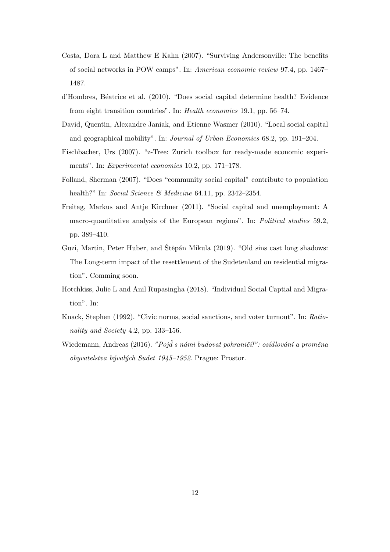- Costa, Dora L and Matthew E Kahn (2007). "Surviving Andersonville: The benefits of social networks in POW camps". In: American economic review 97.4, pp. 1467– 1487.
- d'Hombres, B´eatrice et al. (2010). "Does social capital determine health? Evidence from eight transition countries". In: Health economics 19.1, pp. 56–74.
- David, Quentin, Alexandre Janiak, and Etienne Wasmer (2010). "Local social capital and geographical mobility". In: Journal of Urban Economics 68.2, pp. 191–204.
- Fischbacher, Urs (2007). "z-Tree: Zurich toolbox for ready-made economic experiments". In: Experimental economics 10.2, pp. 171–178.
- Folland, Sherman (2007). "Does "community social capital" contribute to population health?" In: Social Science & Medicine 64.11, pp. 2342–2354.
- Freitag, Markus and Antje Kirchner (2011). "Social capital and unemployment: A macro-quantitative analysis of the European regions". In: Political studies 59.2, pp. 389–410.
- Guzi, Martin, Peter Huber, and Štěpán Mikula (2019). "Old sins cast long shadows: The Long-term impact of the resettlement of the Sudetenland on residential migration". Comming soon.
- Hotchkiss, Julie L and Anil Rupasingha (2018). "Individual Social Captial and Migration". In:
- Knack, Stephen (1992). "Civic norms, social sanctions, and voter turnout". In: Rationality and Society 4.2, pp. 133–156.
- Wiedemann, Andreas (2016). "Poj $\check{d}$  s námi budovat pohraničí!": osídlování a proměna obyvatelstva bývalých Sudet 1945–1952. Prague: Prostor.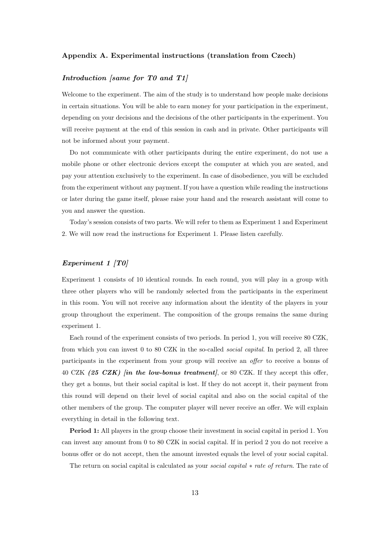#### Appendix A. Experimental instructions (translation from Czech)

#### Introduction [same for T0 and T1]

Welcome to the experiment. The aim of the study is to understand how people make decisions in certain situations. You will be able to earn money for your participation in the experiment, depending on your decisions and the decisions of the other participants in the experiment. You will receive payment at the end of this session in cash and in private. Other participants will not be informed about your payment.

Do not communicate with other participants during the entire experiment, do not use a mobile phone or other electronic devices except the computer at which you are seated, and pay your attention exclusively to the experiment. In case of disobedience, you will be excluded from the experiment without any payment. If you have a question while reading the instructions or later during the game itself, please raise your hand and the research assistant will come to you and answer the question.

Today's session consists of two parts. We will refer to them as Experiment 1 and Experiment 2. We will now read the instructions for Experiment 1. Please listen carefully.

#### Experiment 1 [T0]

Experiment 1 consists of 10 identical rounds. In each round, you will play in a group with three other players who will be randomly selected from the participants in the experiment in this room. You will not receive any information about the identity of the players in your group throughout the experiment. The composition of the groups remains the same during experiment 1.

Each round of the experiment consists of two periods. In period 1, you will receive 80 CZK, from which you can invest 0 to 80 CZK in the so-called *social capital*. In period 2, all three participants in the experiment from your group will receive an offer to receive a bonus of 40 CZK  $(25 \text{ CZK})$  [in the low-bonus treatment], or 80 CZK. If they accept this offer, they get a bonus, but their social capital is lost. If they do not accept it, their payment from this round will depend on their level of social capital and also on the social capital of the other members of the group. The computer player will never receive an offer. We will explain everything in detail in the following text.

Period 1: All players in the group choose their investment in social capital in period 1. You can invest any amount from 0 to 80 CZK in social capital. If in period 2 you do not receive a bonus offer or do not accept, then the amount invested equals the level of your social capital.

The return on social capital is calculated as your social capital ∗ rate of return. The rate of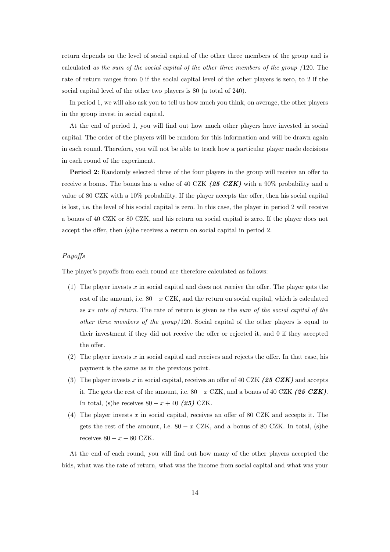return depends on the level of social capital of the other three members of the group and is calculated as the sum of the social capital of the other three members of the group /120. The rate of return ranges from 0 if the social capital level of the other players is zero, to 2 if the social capital level of the other two players is 80 (a total of 240).

In period 1, we will also ask you to tell us how much you think, on average, the other players in the group invest in social capital.

At the end of period 1, you will find out how much other players have invested in social capital. The order of the players will be random for this information and will be drawn again in each round. Therefore, you will not be able to track how a particular player made decisions in each round of the experiment.

Period 2: Randomly selected three of the four players in the group will receive an offer to receive a bonus. The bonus has a value of 40 CZK (25 CZK) with a 90% probability and a value of 80 CZK with a 10% probability. If the player accepts the offer, then his social capital is lost, i.e. the level of his social capital is zero. In this case, the player in period 2 will receive a bonus of 40 CZK or 80 CZK, and his return on social capital is zero. If the player does not accept the offer, then (s)he receives a return on social capital in period 2.

#### Payoffs

The player's payoffs from each round are therefore calculated as follows:

- (1) The player invests x in social capital and does not receive the offer. The player gets the rest of the amount, i.e.  $80-x$  CZK, and the return on social capital, which is calculated as x∗ rate of return. The rate of return is given as the sum of the social capital of the other three members of the group/120. Social capital of the other players is equal to their investment if they did not receive the offer or rejected it, and 0 if they accepted the offer.
- (2) The player invests x in social capital and receives and rejects the offer. In that case, his payment is the same as in the previous point.
- (3) The player invests x in social capital, receives an offer of 40 CZK (25 CZK) and accepts it. The gets the rest of the amount, i.e.  $80-x$  CZK, and a bonus of 40 CZK (25 CZK). In total, (s)he receives  $80 - x + 40$  (25) CZK.
- (4) The player invests x in social capital, receives an offer of 80 CZK and accepts it. The gets the rest of the amount, i.e.  $80 - x$  CZK, and a bonus of 80 CZK. In total, (s)he receives  $80 - x + 80$  CZK.

At the end of each round, you will find out how many of the other players accepted the bids, what was the rate of return, what was the income from social capital and what was your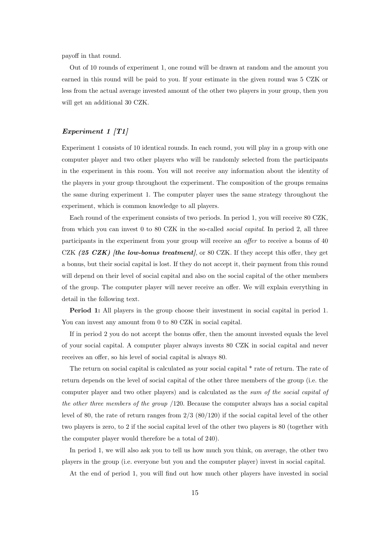payoff in that round.

Out of 10 rounds of experiment 1, one round will be drawn at random and the amount you earned in this round will be paid to you. If your estimate in the given round was 5 CZK or less from the actual average invested amount of the other two players in your group, then you will get an additional 30 CZK.

#### Experiment 1 [T1]

Experiment 1 consists of 10 identical rounds. In each round, you will play in a group with one computer player and two other players who will be randomly selected from the participants in the experiment in this room. You will not receive any information about the identity of the players in your group throughout the experiment. The composition of the groups remains the same during experiment 1. The computer player uses the same strategy throughout the experiment, which is common knowledge to all players.

Each round of the experiment consists of two periods. In period 1, you will receive 80 CZK, from which you can invest 0 to 80 CZK in the so-called social capital. In period 2, all three participants in the experiment from your group will receive an offer to receive a bonus of 40 CZK (25 CZK) [the low-bonus treatment], or 80 CZK. If they accept this offer, they get a bonus, but their social capital is lost. If they do not accept it, their payment from this round will depend on their level of social capital and also on the social capital of the other members of the group. The computer player will never receive an offer. We will explain everything in detail in the following text.

Period 1: All players in the group choose their investment in social capital in period 1. You can invest any amount from 0 to 80 CZK in social capital.

If in period 2 you do not accept the bonus offer, then the amount invested equals the level of your social capital. A computer player always invests 80 CZK in social capital and never receives an offer, so his level of social capital is always 80.

The return on social capital is calculated as your social capital \* rate of return. The rate of return depends on the level of social capital of the other three members of the group (i.e. the computer player and two other players) and is calculated as the sum of the social capital of the other three members of the group /120. Because the computer always has a social capital level of 80, the rate of return ranges from 2/3 (80/120) if the social capital level of the other two players is zero, to 2 if the social capital level of the other two players is 80 (together with the computer player would therefore be a total of 240).

In period 1, we will also ask you to tell us how much you think, on average, the other two players in the group (i.e. everyone but you and the computer player) invest in social capital.

At the end of period 1, you will find out how much other players have invested in social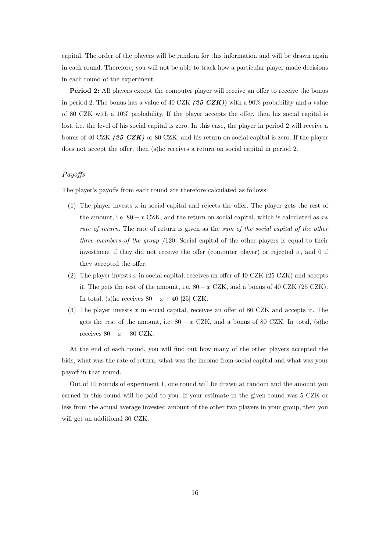capital. The order of the players will be random for this information and will be drawn again in each round. Therefore, you will not be able to track how a particular player made decisions in each round of the experiment.

Period 2: All players except the computer player will receive an offer to receive the bonus in period 2. The bonus has a value of 40 CZK  $(25 \text{ CZK})$  with a 90% probability and a value of 80 CZK with a 10% probability. If the player accepts the offer, then his social capital is lost, i.e. the level of his social capital is zero. In this case, the player in period 2 will receive a bonus of 40 CZK (25 CZK) or 80 CZK, and his return on social capital is zero. If the player does not accept the offer, then (s)he receives a return on social capital in period 2.

#### Payoffs

The player's payoffs from each round are therefore calculated as follows:

- (1) The player invests x in social capital and rejects the offer. The player gets the rest of the amount, i.e.  $80 - x$  CZK, and the return on social capital, which is calculated as  $x^*$ rate of return. The rate of return is given as the sum of the social capital of the other three members of the group  $/120$ . Social capital of the other players is equal to their investment if they did not receive the offer (computer player) or rejected it, and 0 if they accepted the offer.
- (2) The player invests x in social capital, receives an offer of 40 CZK (25 CZK) and accepts it. The gets the rest of the amount, i.e.  $80 - x$  CZK, and a bonus of 40 CZK (25 CZK). In total, (s)he receives  $80 - x + 40$  [25] CZK.
- (3) The player invests  $x$  in social capital, receives an offer of 80 CZK and accepts it. The gets the rest of the amount, i.e.  $80 - x$  CZK, and a bonus of 80 CZK. In total, (s)he receives  $80 - x + 80$  CZK.

At the end of each round, you will find out how many of the other players accepted the bids, what was the rate of return, what was the income from social capital and what was your payoff in that round.

Out of 10 rounds of experiment 1, one round will be drawn at random and the amount you earned in this round will be paid to you. If your estimate in the given round was 5 CZK or less from the actual average invested amount of the other two players in your group, then you will get an additional 30 CZK.